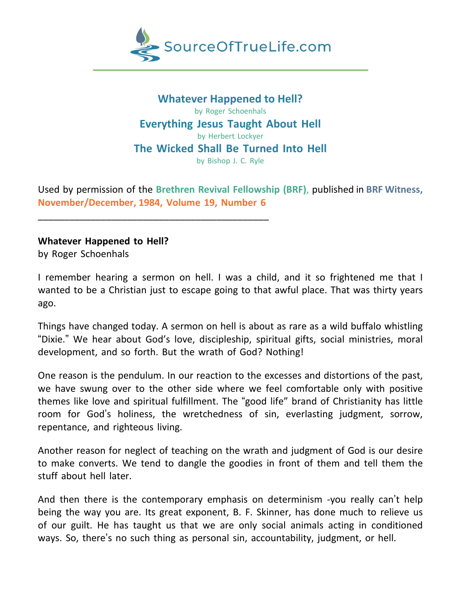

**Whatever Happened to Hell?** by Roger Schoenhals **Everything Jesus Taught About Hell** by Herbert Lockyer **The Wicked Shall Be Turned Into Hell** by Bishop J. C. Ryle

Used by permission of the **Brethren Revival Fellowship (BRF)**, published in **BRF Witness, November/December, 1984, Volume 19, Number 6**

**Whatever Happened to Hell?**

\_\_\_\_\_\_\_\_\_\_\_\_\_\_\_\_\_\_\_\_\_\_\_\_\_\_\_\_\_\_\_\_\_\_\_\_\_\_\_\_\_\_\_\_

by Roger Schoenhals

I remember hearing a sermon on hell. I was a child, and it so frightened me that I wanted to be a Christian just to escape going to that awful place. That was thirty years ago.

Things have changed today. A sermon on hell is about as rare as a wild buffalo whistling "Dixie." We hear about God's love, discipleship, spiritual gifts, social ministries, moral development, and so forth. But the wrath of God? Nothing!

One reason is the pendulum. In our reaction to the excesses and distortions of the past, we have swung over to the other side where we feel comfortable only with positive themes like love and spiritual fulfillment. The "good life" brand of Christianity has little room for God's holiness, the wretchedness of sin, everlasting judgment, sorrow, repentance, and righteous living.

Another reason for neglect of teaching on the wrath and judgment of God is our desire to make converts. We tend to dangle the goodies in front of them and tell them the stuff about hell later.

And then there is the contemporary emphasis on determinism -you really can't help being the way you are. Its great exponent, B. F. Skinner, has done much to relieve us of our guilt. He has taught us that we are only social animals acting in conditioned ways. So, there's no such thing as personal sin, accountability, judgment, or hell.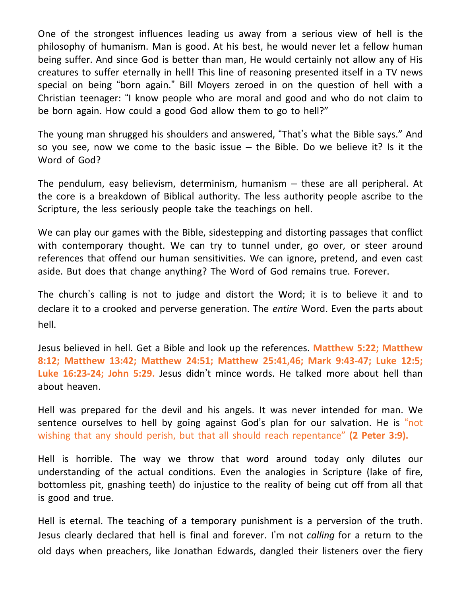One of the strongest influences leading us away from a serious view of hell is the philosophy of humanism. Man is good. At his best, he would never let a fellow human being suffer. And since God is better than man, He would certainly not allow any of His creatures to suffer eternally in hell! This line of reasoning presented itself in a TV news special on being "born again." Bill Moyers zeroed in on the question of hell with a Christian teenager: "I know people who are moral and good and who do not claim to be born again. How could a good God allow them to go to hell?"

The young man shrugged his shoulders and answered, "That's what the Bible says." And so you see, now we come to the basic issue  $-$  the Bible. Do we believe it? Is it the Word of God?

The pendulum, easy believism, determinism, humanism – these are all peripheral. At the core is a breakdown of Biblical authority. The less authority people ascribe to the Scripture, the less seriously people take the teachings on hell.

We can play our games with the Bible, sidestepping and distorting passages that conflict with contemporary thought. We can try to tunnel under, go over, or steer around references that offend our human sensitivities. We can ignore, pretend, and even cast aside. But does that change anything? The Word of God remains true. Forever.

The church's calling is not to judge and distort the Word; it is to believe it and to declare it to a crooked and perverse generation. The *entire* Word. Even the parts about hell.

Jesus believed in hell. Get a Bible and look up the references. **Matthew 5:22; Matthew 8:12; Matthew 13:42; Matthew 24:51; Matthew 25:41,46; Mark 9:43-47; Luke 12:5; Luke 16:23-24; John 5:29.** Jesus didn't mince words. He talked more about hell than about heaven.

Hell was prepared for the devil and his angels. It was never intended for man. We sentence ourselves to hell by going against God's plan for our salvation. He is "not wishing that any should perish, but that all should reach repentance" **(2 Peter 3:9).**

Hell is horrible. The way we throw that word around today only dilutes our understanding of the actual conditions. Even the analogies in Scripture (lake of fire, bottomless pit, gnashing teeth) do injustice to the reality of being cut off from all that is good and true.

Hell is eternal. The teaching of a temporary punishment is a perversion of the truth. Jesus clearly declared that hell is final and forever. I'm not *calling* for a return to the old days when preachers, like Jonathan Edwards, dangled their listeners over the fiery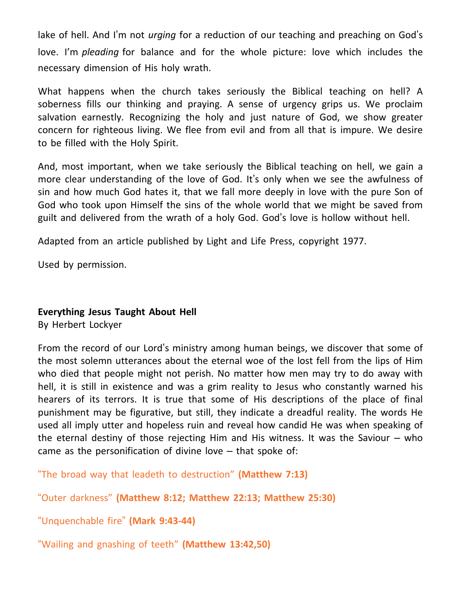lake of hell. And I'm not *urging* for a reduction of our teaching and preaching on God's love. I'm *pleading* for balance and for the whole picture: love which includes the necessary dimension of His holy wrath.

What happens when the church takes seriously the Biblical teaching on hell? A soberness fills our thinking and praying. A sense of urgency grips us. We proclaim salvation earnestly. Recognizing the holy and just nature of God, we show greater concern for righteous living. We flee from evil and from all that is impure. We desire to be filled with the Holy Spirit.

And, most important, when we take seriously the Biblical teaching on hell, we gain a more clear understanding of the love of God. It's only when we see the awfulness of sin and how much God hates it, that we fall more deeply in love with the pure Son of God who took upon Himself the sins of the whole world that we might be saved from guilt and delivered from the wrath of a holy God. God's love is hollow without hell.

Adapted from an article published by Light and Life Press, copyright 1977.

Used by permission.

## **Everything Jesus Taught About Hell**

By Herbert Lockyer

From the record of our Lord's ministry among human beings, we discover that some of the most solemn utterances about the eternal woe of the lost fell from the lips of Him who died that people might not perish. No matter how men may try to do away with hell, it is still in existence and was a grim reality to Jesus who constantly warned his hearers of its terrors. It is true that some of His descriptions of the place of final punishment may be figurative, but still, they indicate a dreadful reality. The words He used all imply utter and hopeless ruin and reveal how candid He was when speaking of the eternal destiny of those rejecting Him and His witness. It was the Saviour – who came as the personification of divine love – that spoke of:

"The broad way that leadeth to destruction" **(Matthew 7:13)**

"Outer darkness" **(Matthew 8:12; Matthew 22:13; Matthew 25:30)**

"Unquenchable fire" **(Mark 9:43-44)**

"Wailing and gnashing of teeth" **(Matthew 13:42,50)**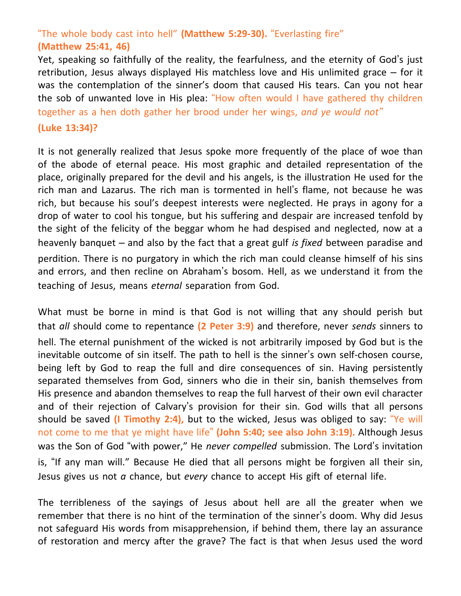## "The whole body cast into hell" **(Matthew 5:29-30).** "Everlasting fire" **(Matthew 25:41, 46)**

Yet, speaking so faithfully of the reality, the fearfulness, and the eternity of God's just retribution, Jesus always displayed His matchless love and His unlimited grace – for it was the contemplation of the sinner's doom that caused His tears. Can you not hear the sob of unwanted love in His plea: "How often would I have gathered thy children together as a hen doth gather her brood under her wings, *and ye would not"* **(Luke 13:34)?**

It is not generally realized that Jesus spoke more frequently of the place of woe than of the abode of eternal peace. His most graphic and detailed representation of the place, originally prepared for the devil and his angels, is the illustration He used for the rich man and Lazarus. The rich man is tormented in hell's flame, not because he was rich, but because his soul's deepest interests were neglected. He prays in agony for a drop of water to cool his tongue, but his suffering and despair are increased tenfold by the sight of the felicity of the beggar whom he had despised and neglected, now at a heavenly banquet – and also by the fact that a great gulf *is fixed* between paradise and perdition. There is no purgatory in which the rich man could cleanse himself of his sins and errors, and then recline on Abraham's bosom. Hell, as we understand it from the teaching of Jesus, means *eternal* separation from God.

What must be borne in mind is that God is not willing that any should perish but that *all* should come to repentance **(2 Peter 3:9)** and therefore, never *sends* sinners to hell. The eternal punishment of the wicked is not arbitrarily imposed by God but is the inevitable outcome of sin itself. The path to hell is the sinner's own self-chosen course, being left by God to reap the full and dire consequences of sin. Having persistently separated themselves from God, sinners who die in their sin, banish themselves from His presence and abandon themselves to reap the full harvest of their own evil character and of their rejection of Calvary's provision for their sin. God wills that all persons should be saved **(I Timothy 2:4),** but to the wicked, Jesus was obliged to say: "Ye will not come to me that ye might have life" **(John 5:40; see also John 3:19).** Although Jesus was the Son of God "with power," He *never compelled* submission. The Lord's invitation is, "If any man will." Because He died that all persons might be forgiven all their sin, Jesus gives us not *a* chance, but *every* chance to accept His gift of eternal life.

The terribleness of the sayings of Jesus about hell are all the greater when we remember that there is no hint of the termination of the sinner's doom. Why did Jesus not safeguard His words from misapprehension, if behind them, there lay an assurance of restoration and mercy after the grave? The fact is that when Jesus used the word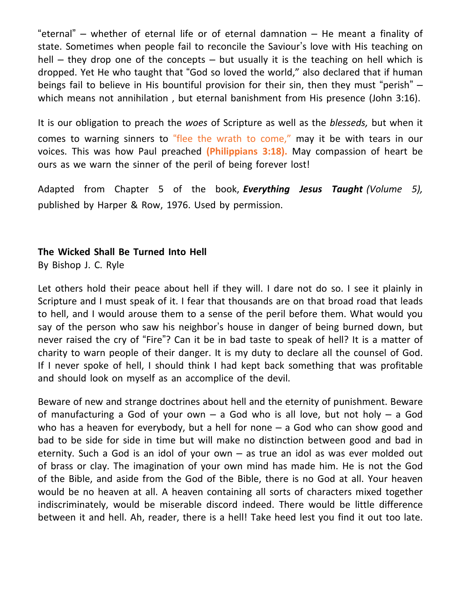"eternal" – whether of eternal life or of eternal damnation – He meant a finality of state. Sometimes when people fail to reconcile the Saviour's love with His teaching on hell  $-$  they drop one of the concepts  $-$  but usually it is the teaching on hell which is dropped. Yet He who taught that "God so loved the world," also declared that if human beings fail to believe in His bountiful provision for their sin, then they must "perish" – which means not annihilation , but eternal banishment from His presence (John 3:16).

It is our obligation to preach the *woes* of Scripture as well as the *blesseds,* but when it comes to warning sinners to "flee the wrath to come," may it be with tears in our voices. This was how Paul preached **(Philippians 3:18).** May compassion of heart be ours as we warn the sinner of the peril of being forever lost!

Adapted from Chapter 5 of the book, *Everything Jesus Taught (Volume 5),* published by Harper & Row, 1976. Used by permission.

## **The Wicked Shall Be Turned Into Hell**

By Bishop J. C. Ryle

Let others hold their peace about hell if they will. I dare not do so. I see it plainly in Scripture and I must speak of it. I fear that thousands are on that broad road that leads to hell, and I would arouse them to a sense of the peril before them. What would you say of the person who saw his neighbor's house in danger of being burned down, but never raised the cry of "Fire"? Can it be in bad taste to speak of hell? It is a matter of charity to warn people of their danger. It is my duty to declare all the counsel of God. If I never spoke of hell, I should think I had kept back something that was profitable and should look on myself as an accomplice of the devil.

Beware of new and strange doctrines about hell and the eternity of punishment. Beware of manufacturing a God of your own  $-$  a God who is all love, but not holy  $-$  a God who has a heaven for everybody, but a hell for none  $-$  a God who can show good and bad to be side for side in time but will make no distinction between good and bad in eternity. Such a God is an idol of your own – as true an idol as was ever molded out of brass or clay. The imagination of your own mind has made him. He is not the God of the Bible, and aside from the God of the Bible, there is no God at all. Your heaven would be no heaven at all. A heaven containing all sorts of characters mixed together indiscriminately, would be miserable discord indeed. There would be little difference between it and hell. Ah, reader, there is a hell! Take heed lest you find it out too late.